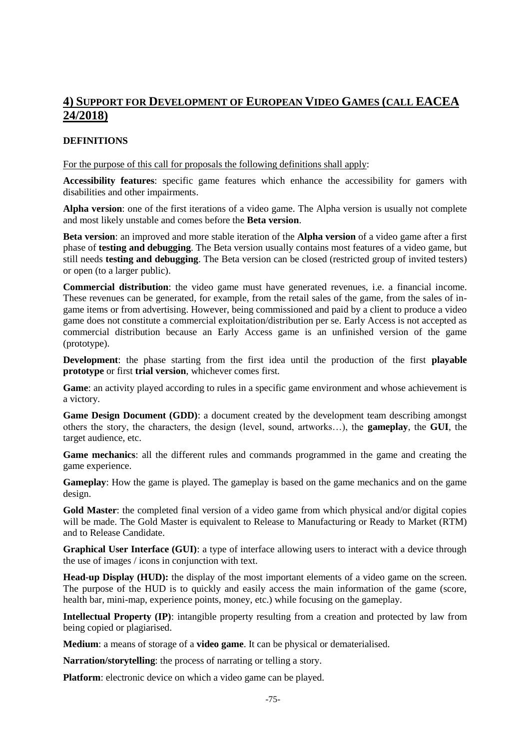# **4) SUPPORT FOR DEVELOPMENT OF EUROPEAN VIDEO GAMES (CALL EACEA 24/2018)**

### **DEFINITIONS**

For the purpose of this call for proposals the following definitions shall apply:

**Accessibility features**: specific game features which enhance the accessibility for gamers with disabilities and other impairments.

**Alpha version**: one of the first iterations of a video game. The Alpha version is usually not complete and most likely unstable and comes before the **Beta version**.

**Beta version**: an improved and more stable iteration of the **Alpha version** of a video game after a first phase of **testing and debugging**. The Beta version usually contains most features of a video game, but still needs **testing and debugging**. The Beta version can be closed (restricted group of invited testers) or open (to a larger public).

**Commercial distribution**: the video game must have generated revenues, i.e. a financial income. These revenues can be generated, for example, from the retail sales of the game, from the sales of ingame items or from advertising. However, being commissioned and paid by a client to produce a video game does not constitute a commercial exploitation/distribution per se. Early Access is not accepted as commercial distribution because an Early Access game is an unfinished version of the game (prototype).

**Development**: the phase starting from the first idea until the production of the first **playable prototype** or first **trial version**, whichever comes first.

**Game**: an activity played according to rules in a specific game environment and whose achievement is a victory.

**Game Design Document (GDD)**: a document created by the development team describing amongst others the story, the characters, the design (level, sound, artworks…), the **gameplay**, the **GUI**, the target audience, etc.

**Game mechanics**: all the different rules and commands programmed in the game and creating the game experience.

**Gameplay**: How the game is played. The gameplay is based on the game mechanics and on the game design.

Gold Master: the completed final version of a video game from which physical and/or digital copies will be made. The Gold Master is equivalent to Release to Manufacturing or Ready to Market (RTM) and to Release Candidate.

**Graphical User Interface (GUI)**: a type of interface allowing users to interact with a device through the use of images / icons in conjunction with text.

**Head-up Display (HUD):** the display of the most important elements of a video game on the screen. The purpose of the HUD is to quickly and easily access the main information of the game (score, health bar, mini-map, experience points, money, etc.) while focusing on the gameplay.

**Intellectual Property (IP)**: intangible property resulting from a creation and protected by law from being copied or plagiarised.

**Medium**: a means of storage of a **video game**. It can be physical or dematerialised.

**Narration/storytelling**: the process of narrating or telling a story.

**Platform**: electronic device on which a video game can be played.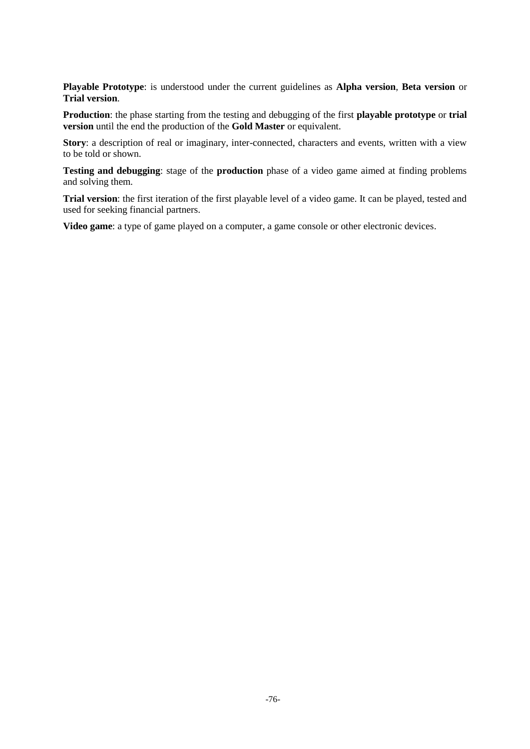**Playable Prototype**: is understood under the current guidelines as **Alpha version**, **Beta version** or **Trial version**.

**Production**: the phase starting from the testing and debugging of the first **playable prototype** or **trial version** until the end the production of the **Gold Master** or equivalent.

**Story**: a description of real or imaginary, inter-connected, characters and events, written with a view to be told or shown.

**Testing and debugging**: stage of the **production** phase of a video game aimed at finding problems and solving them.

**Trial version**: the first iteration of the first playable level of a video game. It can be played, tested and used for seeking financial partners.

**Video game**: a type of game played on a computer, a game console or other electronic devices.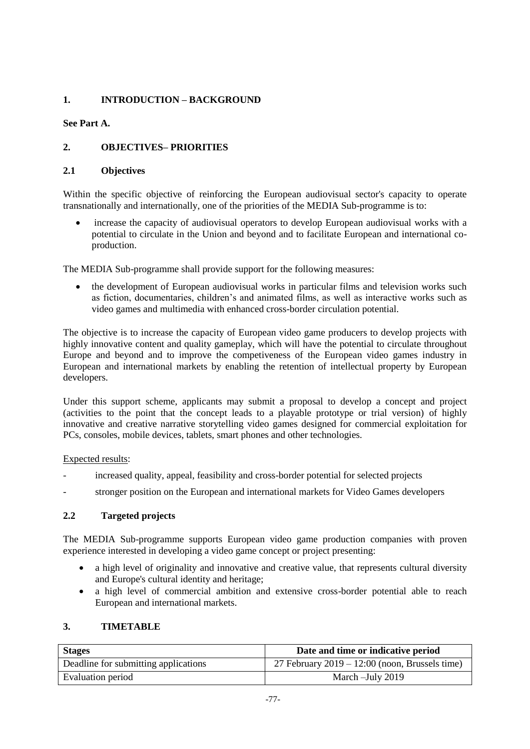# **1. INTRODUCTION – BACKGROUND**

### **See Part A.**

# **2. OBJECTIVES– PRIORITIES**

### **2.1 Objectives**

Within the specific objective of reinforcing the European audiovisual sector's capacity to operate transnationally and internationally, one of the priorities of the MEDIA Sub-programme is to:

 increase the capacity of audiovisual operators to develop European audiovisual works with a potential to circulate in the Union and beyond and to facilitate European and international coproduction.

The MEDIA Sub-programme shall provide support for the following measures:

 the development of European audiovisual works in particular films and television works such as fiction, documentaries, children's and animated films, as well as interactive works such as video games and multimedia with enhanced cross-border circulation potential.

The objective is to increase the capacity of European video game producers to develop projects with highly innovative content and quality gameplay, which will have the potential to circulate throughout Europe and beyond and to improve the competiveness of the European video games industry in European and international markets by enabling the retention of intellectual property by European developers.

Under this support scheme, applicants may submit a proposal to develop a concept and project (activities to the point that the concept leads to a playable prototype or trial version) of highly innovative and creative narrative storytelling video games designed for commercial exploitation for PCs, consoles, mobile devices, tablets, smart phones and other technologies.

Expected results:

- increased quality, appeal, feasibility and cross-border potential for selected projects
- stronger position on the European and international markets for Video Games developers

### **2.2 Targeted projects**

The MEDIA Sub-programme supports European video game production companies with proven experience interested in developing a video game concept or project presenting:

- a high level of originality and innovative and creative value, that represents cultural diversity and Europe's cultural identity and heritage;
- a high level of commercial ambition and extensive cross-border potential able to reach European and international markets.

### **3. TIMETABLE**

| <b>Stages</b>                        | Date and time or indicative period               |
|--------------------------------------|--------------------------------------------------|
| Deadline for submitting applications | 27 February $2019 - 12:00$ (noon, Brussels time) |
| Evaluation period                    | March - July 2019                                |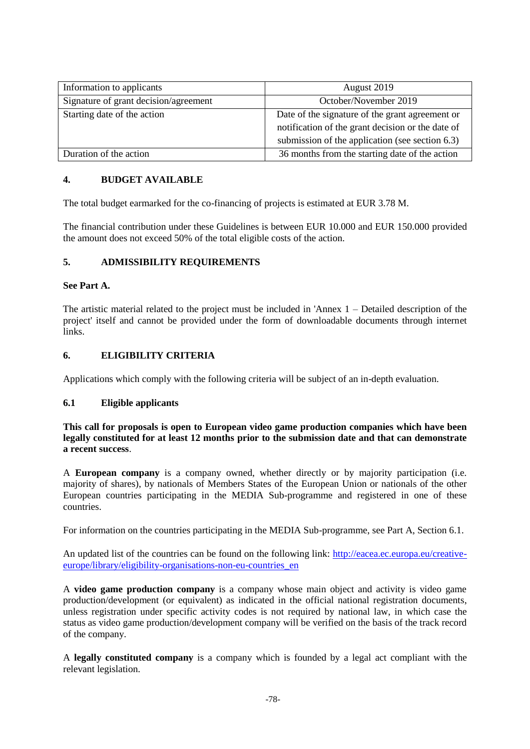| Information to applicants             | August 2019                                                                                                                                             |
|---------------------------------------|---------------------------------------------------------------------------------------------------------------------------------------------------------|
| Signature of grant decision/agreement | October/November 2019                                                                                                                                   |
| Starting date of the action           | Date of the signature of the grant agreement or<br>notification of the grant decision or the date of<br>submission of the application (see section 6.3) |
| Duration of the action                | 36 months from the starting date of the action                                                                                                          |

### **4. BUDGET AVAILABLE**

The total budget earmarked for the co-financing of projects is estimated at EUR 3.78 M.

The financial contribution under these Guidelines is between EUR 10.000 and EUR 150.000 provided the amount does not exceed 50% of the total eligible costs of the action.

### **5. ADMISSIBILITY REQUIREMENTS**

### **See Part A.**

The artistic material related to the project must be included in 'Annex 1 – Detailed description of the project' itself and cannot be provided under the form of downloadable documents through internet links.

### **6. ELIGIBILITY CRITERIA**

Applications which comply with the following criteria will be subject of an in-depth evaluation.

#### **6.1 Eligible applicants**

**This call for proposals is open to European video game production companies which have been legally constituted for at least 12 months prior to the submission date and that can demonstrate a recent success**.

A **European company** is a company owned, whether directly or by majority participation (i.e. majority of shares), by nationals of Members States of the European Union or nationals of the other European countries participating in the MEDIA Sub-programme and registered in one of these countries.

For information on the countries participating in the MEDIA Sub-programme, see Part A, Section 6.1.

An updated list of the countries can be found on the following link: [http://eacea.ec.europa.eu/creative](http://eacea.ec.europa.eu/creative-europe/library/eligibility-organisations-non-eu-countries_en)[europe/library/eligibility-organisations-non-eu-countries\\_en](http://eacea.ec.europa.eu/creative-europe/library/eligibility-organisations-non-eu-countries_en)

A **video game production company** is a company whose main object and activity is video game production/development (or equivalent) as indicated in the official national registration documents, unless registration under specific activity codes is not required by national law, in which case the status as video game production/development company will be verified on the basis of the track record of the company.

A **legally constituted company** is a company which is founded by a legal act compliant with the relevant legislation.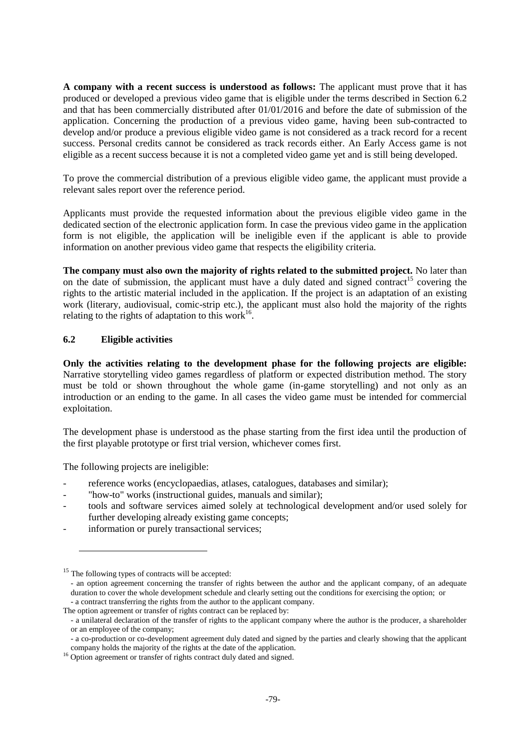**A company with a recent success is understood as follows:** The applicant must prove that it has produced or developed a previous video game that is eligible under the terms described in Section 6.2 and that has been commercially distributed after 01/01/2016 and before the date of submission of the application. Concerning the production of a previous video game, having been sub-contracted to develop and/or produce a previous eligible video game is not considered as a track record for a recent success. Personal credits cannot be considered as track records either. An Early Access game is not eligible as a recent success because it is not a completed video game yet and is still being developed.

To prove the commercial distribution of a previous eligible video game, the applicant must provide a relevant sales report over the reference period.

Applicants must provide the requested information about the previous eligible video game in the dedicated section of the electronic application form. In case the previous video game in the application form is not eligible, the application will be ineligible even if the applicant is able to provide information on another previous video game that respects the eligibility criteria.

**The company must also own the majority of rights related to the submitted project.** No later than on the date of submission, the applicant must have a duly dated and signed contract<sup>15</sup> covering the rights to the artistic material included in the application. If the project is an adaptation of an existing work (literary, audiovisual, comic-strip etc.), the applicant must also hold the majority of the rights relating to the rights of adaptation to this work<sup>16</sup>.

### **6.2 Eligible activities**

**Only the activities relating to the development phase for the following projects are eligible:** Narrative storytelling video games regardless of platform or expected distribution method. The story must be told or shown throughout the whole game (in-game storytelling) and not only as an introduction or an ending to the game. In all cases the video game must be intended for commercial exploitation.

The development phase is understood as the phase starting from the first idea until the production of the first playable prototype or first trial version, whichever comes first.

The following projects are ineligible:

- reference works (encyclopaedias, atlases, catalogues, databases and similar);
- "how-to" works (instructional guides, manuals and similar);
- tools and software services aimed solely at technological development and/or used solely for further developing already existing game concepts;
- information or purely transactional services;

**.** 

<sup>&</sup>lt;sup>15</sup> The following types of contracts will be accepted:

<sup>-</sup> an option agreement concerning the transfer of rights between the author and the applicant company, of an adequate duration to cover the whole development schedule and clearly setting out the conditions for exercising the option; or - a contract transferring the rights from the author to the applicant company.

The option agreement or transfer of rights contract can be replaced by:

<sup>-</sup> a unilateral declaration of the transfer of rights to the applicant company where the author is the producer, a shareholder or an employee of the company;

<sup>-</sup> a co-production or co-development agreement duly dated and signed by the parties and clearly showing that the applicant company holds the majority of the rights at the date of the application.

<sup>&</sup>lt;sup>16</sup> Option agreement or transfer of rights contract duly dated and signed.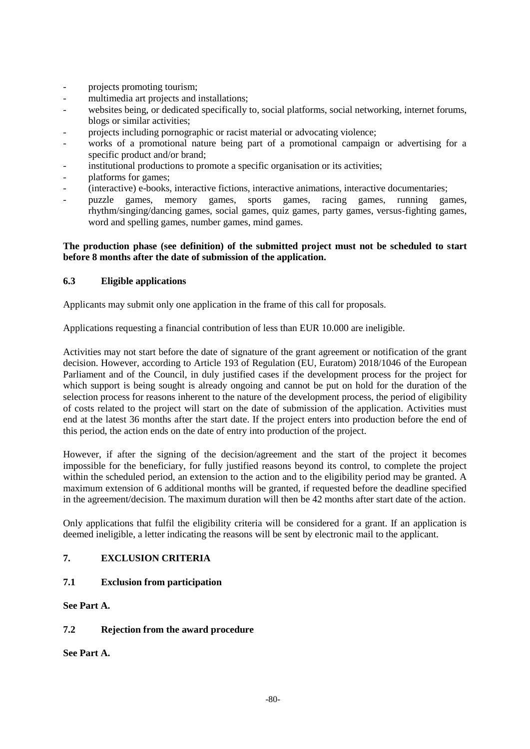- projects promoting tourism;
- multimedia art projects and installations:
- websites being, or dedicated specifically to, social platforms, social networking, internet forums, blogs or similar activities;
- projects including pornographic or racist material or advocating violence;
- works of a promotional nature being part of a promotional campaign or advertising for a specific product and/or brand:
- institutional productions to promote a specific organisation or its activities;
- platforms for games;
- (interactive) e-books, interactive fictions, interactive animations, interactive documentaries;
- puzzle games, memory games, sports games, racing games, running games, rhythm/singing/dancing games, social games, quiz games, party games, versus-fighting games, word and spelling games, number games, mind games.

#### **The production phase (see definition) of the submitted project must not be scheduled to start before 8 months after the date of submission of the application.**

### **6.3 Eligible applications**

Applicants may submit only one application in the frame of this call for proposals.

Applications requesting a financial contribution of less than EUR 10.000 are ineligible.

Activities may not start before the date of signature of the grant agreement or notification of the grant decision. However, according to Article 193 of Regulation (EU, Euratom) 2018/1046 of the European Parliament and of the Council, in duly justified cases if the development process for the project for which support is being sought is already ongoing and cannot be put on hold for the duration of the selection process for reasons inherent to the nature of the development process, the period of eligibility of costs related to the project will start on the date of submission of the application. Activities must end at the latest 36 months after the start date. If the project enters into production before the end of this period, the action ends on the date of entry into production of the project.

However, if after the signing of the decision/agreement and the start of the project it becomes impossible for the beneficiary, for fully justified reasons beyond its control, to complete the project within the scheduled period, an extension to the action and to the eligibility period may be granted. A maximum extension of 6 additional months will be granted, if requested before the deadline specified in the agreement/decision. The maximum duration will then be 42 months after start date of the action.

Only applications that fulfil the eligibility criteria will be considered for a grant. If an application is deemed ineligible, a letter indicating the reasons will be sent by electronic mail to the applicant.

#### **7. EXCLUSION CRITERIA**

### **7.1 Exclusion from participation**

**See Part A.**

#### **7.2 Rejection from the award procedure**

**See Part A.**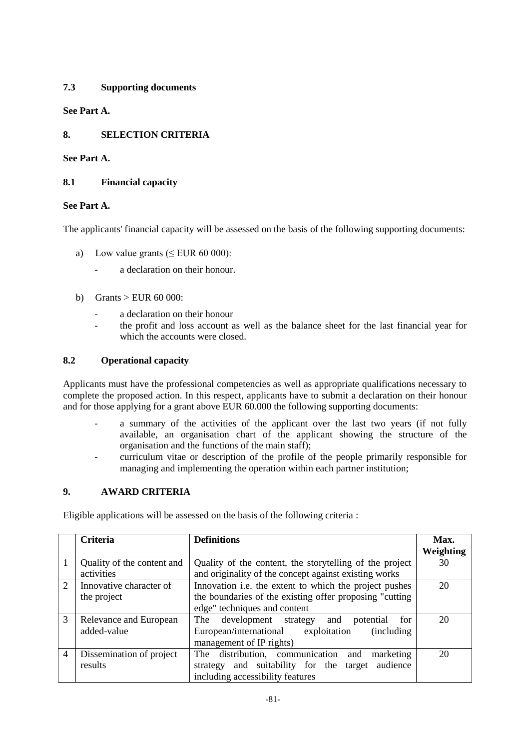# **7.3 Supporting documents**

**See Part A.**

# **8. SELECTION CRITERIA**

### **See Part A.**

### **8.1 Financial capacity**

### **See Part A.**

The applicants' financial capacity will be assessed on the basis of the following supporting documents:

- a) Low value grants  $( $EUR 60 000$ ):$ 
	- a declaration on their honour.
- b) Grants  $>$  EUR 60 000:
	- a declaration on their honour
	- the profit and loss account as well as the balance sheet for the last financial year for which the accounts were closed.

### **8.2 Operational capacity**

Applicants must have the professional competencies as well as appropriate qualifications necessary to complete the proposed action. In this respect, applicants have to submit a declaration on their honour and for those applying for a grant above EUR 60.000 the following supporting documents:

- a summary of the activities of the applicant over the last two years (if not fully available, an organisation chart of the applicant showing the structure of the organisation and the functions of the main staff);
- curriculum vitae or description of the profile of the people primarily responsible for managing and implementing the operation within each partner institution;

### **9. AWARD CRITERIA**

Eligible applications will be assessed on the basis of the following criteria :

|                             | Criteria                   | <b>Definitions</b>                                        | Max.      |
|-----------------------------|----------------------------|-----------------------------------------------------------|-----------|
|                             |                            |                                                           | Weighting |
|                             | Quality of the content and | Quality of the content, the storytelling of the project   | 30        |
|                             | activities                 | and originality of the concept against existing works     |           |
| $\mathcal{D}_{\mathcal{L}}$ | Innovative character of    | Innovation i.e. the extent to which the project pushes    | 20        |
|                             | the project                | the boundaries of the existing offer proposing "cutting"  |           |
|                             |                            | edge" techniques and content                              |           |
| 3                           | Relevance and European     | for<br>The<br>development strategy<br>and<br>potential    | 20        |
|                             | added-value                | European/international<br>exploitation<br>(including)     |           |
|                             |                            | management of IP rights)                                  |           |
| 4                           | Dissemination of project   | The distribution, communication<br>marketing<br>and       | 20        |
|                             | results                    | and suitability for the<br>audience<br>target<br>strategy |           |
|                             |                            | including accessibility features                          |           |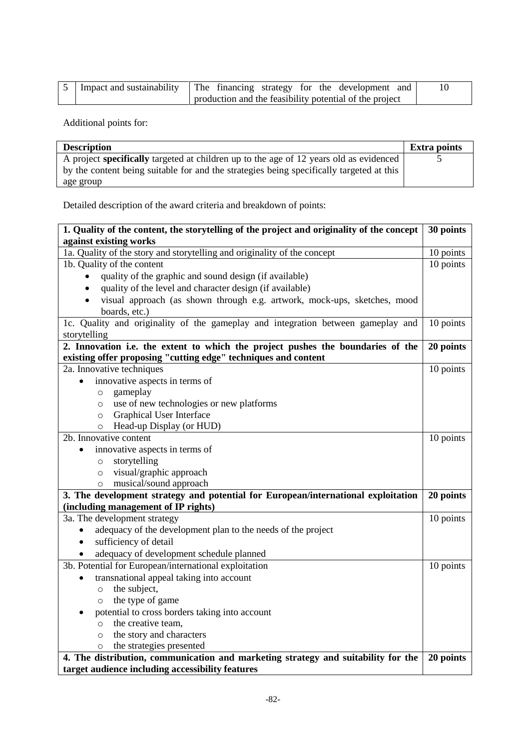|  | Impact and sustainability   The financing strategy for the development and |  |
|--|----------------------------------------------------------------------------|--|
|  | production and the feasibility potential of the project                    |  |

Additional points for:

| <b>Description</b>                                                                            | <b>Extra points</b> |
|-----------------------------------------------------------------------------------------------|---------------------|
| A project <b>specifically</b> targeted at children up to the age of 12 years old as evidenced |                     |
| by the content being suitable for and the strategies being specifically targeted at this      |                     |
| age group                                                                                     |                     |

Detailed description of the award criteria and breakdown of points:

| 1. Quality of the content, the storytelling of the project and originality of the concept | 30 points |
|-------------------------------------------------------------------------------------------|-----------|
| against existing works                                                                    |           |
| 1a. Quality of the story and storytelling and originality of the concept                  | 10 points |
| 1b. Quality of the content                                                                | 10 points |
| quality of the graphic and sound design (if available)                                    |           |
| quality of the level and character design (if available)                                  |           |
| visual approach (as shown through e.g. artwork, mock-ups, sketches, mood                  |           |
| boards, etc.)                                                                             |           |
| 1c. Quality and originality of the gameplay and integration between gameplay and          | 10 points |
| storytelling                                                                              |           |
| 2. Innovation i.e. the extent to which the project pushes the boundaries of the           | 20 points |
| existing offer proposing "cutting edge" techniques and content                            |           |
| 2a. Innovative techniques                                                                 | 10 points |
| innovative aspects in terms of                                                            |           |
| gameplay<br>$\circ$                                                                       |           |
| use of new technologies or new platforms<br>$\circ$                                       |           |
| Graphical User Interface<br>$\circ$                                                       |           |
| Head-up Display (or HUD)<br>$\circ$                                                       |           |
| 2b. Innovative content                                                                    | 10 points |
| innovative aspects in terms of<br>$\bullet$                                               |           |
| storytelling<br>$\circ$                                                                   |           |
| visual/graphic approach<br>$\circ$                                                        |           |
| musical/sound approach<br>$\circ$                                                         |           |
| 3. The development strategy and potential for European/international exploitation         | 20 points |
| (including management of IP rights)                                                       |           |
| 3a. The development strategy                                                              | 10 points |
| adequacy of the development plan to the needs of the project                              |           |
| sufficiency of detail                                                                     |           |
| adequacy of development schedule planned                                                  |           |
| 3b. Potential for European/international exploitation                                     | 10 points |
| transnational appeal taking into account                                                  |           |
| the subject,<br>$\circ$                                                                   |           |
| the type of game<br>$\circ$                                                               |           |
| potential to cross borders taking into account                                            |           |
| the creative team,<br>$\circ$                                                             |           |
| the story and characters<br>$\circ$                                                       |           |
| the strategies presented<br>$\circ$                                                       |           |
| 4. The distribution, communication and marketing strategy and suitability for the         | 20 points |
| target audience including accessibility features                                          |           |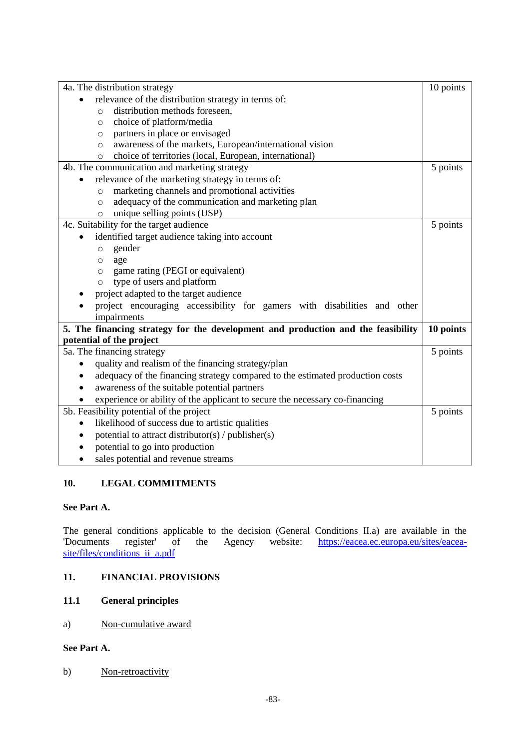| 4a. The distribution strategy                                                    | 10 points |
|----------------------------------------------------------------------------------|-----------|
| relevance of the distribution strategy in terms of:<br>$\bullet$                 |           |
| distribution methods foreseen,<br>$\circ$                                        |           |
| choice of platform/media<br>$\circ$                                              |           |
| partners in place or envisaged<br>$\circ$                                        |           |
| awareness of the markets, European/international vision<br>$\circ$               |           |
| choice of territories (local, European, international)<br>$\circ$                |           |
| 4b. The communication and marketing strategy                                     | 5 points  |
| relevance of the marketing strategy in terms of:                                 |           |
| marketing channels and promotional activities<br>$\circ$                         |           |
| adequacy of the communication and marketing plan<br>$\circ$                      |           |
| unique selling points (USP)<br>$\circ$                                           |           |
| 4c. Suitability for the target audience                                          | 5 points  |
| identified target audience taking into account                                   |           |
| gender<br>$\circ$                                                                |           |
| age<br>O                                                                         |           |
| game rating (PEGI or equivalent)<br>$\circ$                                      |           |
| type of users and platform<br>$\circ$                                            |           |
| project adapted to the target audience                                           |           |
| project encouraging accessibility for gamers with disabilities and other         |           |
| impairments                                                                      |           |
| 5. The financing strategy for the development and production and the feasibility | 10 points |
| potential of the project                                                         |           |
| 5a. The financing strategy                                                       | 5 points  |
| quality and realism of the financing strategy/plan                               |           |
| adequacy of the financing strategy compared to the estimated production costs    |           |
| awareness of the suitable potential partners                                     |           |
| experience or ability of the applicant to secure the necessary co-financing      |           |
| 5b. Feasibility potential of the project                                         | 5 points  |
| likelihood of success due to artistic qualities                                  |           |
| potential to attract distributor(s) / publisher(s)<br>$\bullet$                  |           |
| potential to go into production                                                  |           |
| sales potential and revenue streams                                              |           |

# **10. LEGAL COMMITMENTS**

### **See Part A.**

The general conditions applicable to the decision (General Conditions II.a) are available in the Documents register of the Agency website: https://eacea.ec.europa.eu/sites/eacea[https://eacea.ec.europa.eu/sites/eacea](https://eacea.ec.europa.eu/sites/eacea-site/files/conditions_ii_a.pdf)[site/files/conditions\\_ii\\_a.pdf](https://eacea.ec.europa.eu/sites/eacea-site/files/conditions_ii_a.pdf)

### **11. FINANCIAL PROVISIONS**

# **11.1 General principles**

#### a) Non-cumulative award

# **See Part A.**

### b) Non-retroactivity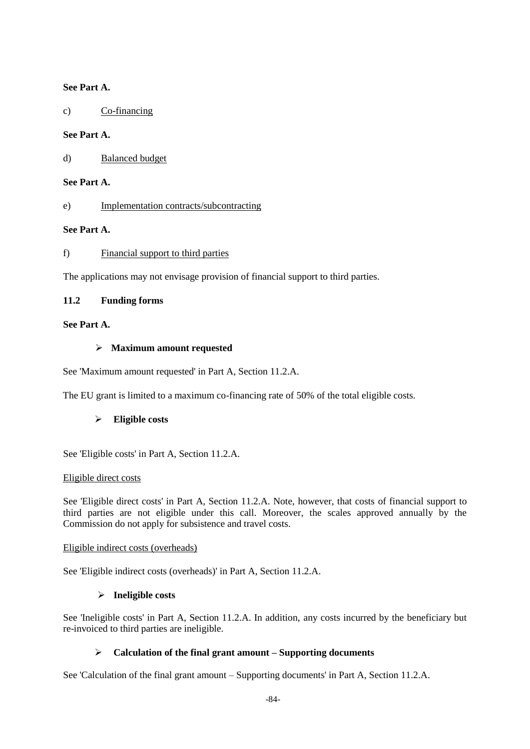### **See Part A.**

c) Co-financing

#### **See Part A.**

d) Balanced budget

#### **See Part A.**

e) Implementation contracts/subcontracting

### **See Part A.**

#### f) Financial support to third parties

The applications may not envisage provision of financial support to third parties.

### **11.2 Funding forms**

### **See Part A.**

#### **Maximum amount requested**

See 'Maximum amount requested' in Part A, Section 11.2.A.

The EU grant is limited to a maximum co-financing rate of 50% of the total eligible costs.

### **Eligible costs**

See 'Eligible costs' in Part A, Section 11.2.A.

#### Eligible direct costs

See 'Eligible direct costs' in Part A, Section 11.2.A. Note, however, that costs of financial support to third parties are not eligible under this call. Moreover, the scales approved annually by the Commission do not apply for subsistence and travel costs.

#### Eligible indirect costs (overheads)

See 'Eligible indirect costs (overheads)' in Part A, Section 11.2.A.

#### **Ineligible costs**

See 'Ineligible costs' in Part A, Section 11.2.A. In addition, any costs incurred by the beneficiary but re-invoiced to third parties are ineligible.

### **Calculation of the final grant amount – Supporting documents**

See 'Calculation of the final grant amount – Supporting documents' in Part A, Section 11.2.A.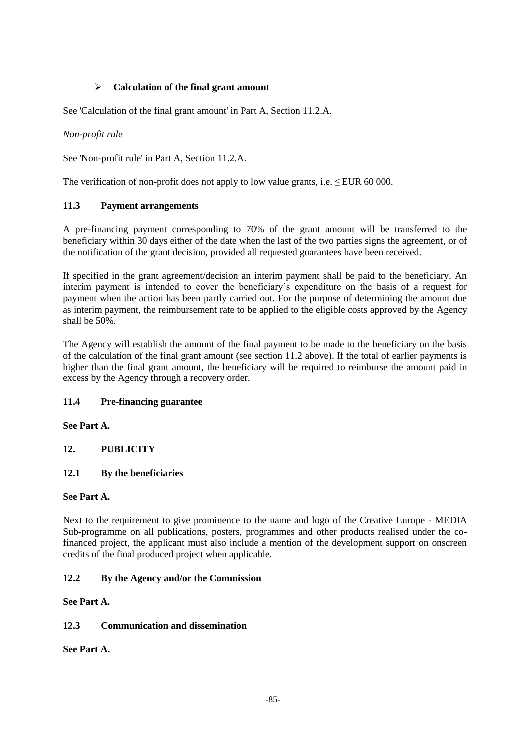# **Calculation of the final grant amount**

See 'Calculation of the final grant amount' in Part A, Section 11.2.A.

### *Non-profit rule*

See 'Non-profit rule' in Part A, Section 11.2.A.

The verification of non-profit does not apply to low value grants, i.e.  $\leq$  EUR 60 000.

### **11.3 Payment arrangements**

A pre-financing payment corresponding to 70% of the grant amount will be transferred to the beneficiary within 30 days either of the date when the last of the two parties signs the agreement, or of the notification of the grant decision, provided all requested guarantees have been received.

If specified in the grant agreement/decision an interim payment shall be paid to the beneficiary. An interim payment is intended to cover the beneficiary's expenditure on the basis of a request for payment when the action has been partly carried out. For the purpose of determining the amount due as interim payment, the reimbursement rate to be applied to the eligible costs approved by the Agency shall be 50%.

The Agency will establish the amount of the final payment to be made to the beneficiary on the basis of the calculation of the final grant amount (see section 11.2 above). If the total of earlier payments is higher than the final grant amount, the beneficiary will be required to reimburse the amount paid in excess by the Agency through a recovery order.

#### **11.4 Pre-financing guarantee**

#### **See Part A.**

### **12. PUBLICITY**

### **12.1 By the beneficiaries**

#### **See Part A.**

Next to the requirement to give prominence to the name and logo of the Creative Europe - MEDIA Sub-programme on all publications, posters, programmes and other products realised under the cofinanced project, the applicant must also include a mention of the development support on onscreen credits of the final produced project when applicable.

### **12.2 By the Agency and/or the Commission**

**See Part A.**

#### **12.3 Communication and dissemination**

**See Part A.**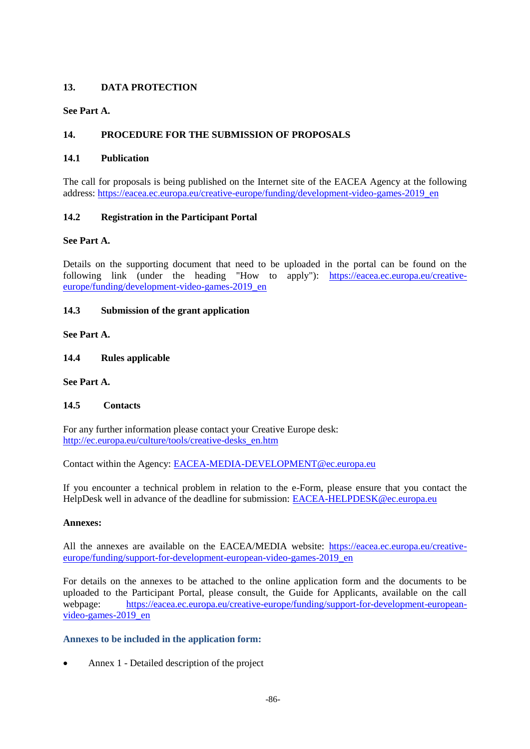### **13. DATA PROTECTION**

### **See Part A.**

### **14. PROCEDURE FOR THE SUBMISSION OF PROPOSALS**

#### **14.1 Publication**

The call for proposals is being published on the Internet site of the EACEA Agency at the following address: [https://eacea.ec.europa.eu/creative-europe/funding/development-video-games-2019\\_en](https://eacea.ec.europa.eu/creative-europe/funding/development-video-games-2019_en)

### **14.2 Registration in the Participant Portal**

#### **See Part A.**

Details on the supporting document that need to be uploaded in the portal can be found on the following link (under the heading "How to apply"): [https://eacea.ec.europa.eu/creative](https://eacea.ec.europa.eu/creative-europe/funding/development-video-games-2019_en)[europe/funding/development-video-games-2019\\_en](https://eacea.ec.europa.eu/creative-europe/funding/development-video-games-2019_en)

#### **14.3 Submission of the grant application**

**See Part A.**

**14.4 Rules applicable**

**See Part A.**

### **14.5 Contacts**

For any further information please contact your Creative Europe desk: [http://ec.europa.eu/culture/tools/creative-desks\\_en.htm](http://ec.europa.eu/culture/tools/creative-desks_en.htm)

Contact within the Agency: [EACEA-MEDIA-DEVELOPMENT@ec.europa.eu](mailto:EACEA-MEDIA-DEVELOPMENT@ec.europa.eu) 

If you encounter a technical problem in relation to the e-Form, please ensure that you contact the HelpDesk well in advance of the deadline for submission: [EACEA-HELPDESK@ec.europa.eu](mailto:EACEA-HELPDESK@ec.europa.eu) 

#### **Annexes:**

All the annexes are available on the EACEA/MEDIA website: [https://eacea.ec.europa.eu/creative](https://eacea.ec.europa.eu/creative-europe/funding/support-for-development-european-video-games-2019_en)[europe/funding/support-for-development-european-video-games-2019\\_en](https://eacea.ec.europa.eu/creative-europe/funding/support-for-development-european-video-games-2019_en)

For details on the annexes to be attached to the online application form and the documents to be uploaded to the Participant Portal, please consult, the Guide for Applicants, available on the call webpage: [https://eacea.ec.europa.eu/creative-europe/funding/support-for-development-european](https://eacea.ec.europa.eu/creative-europe/funding/support-for-development-european-video-games-2019_en)[video-games-2019\\_en](https://eacea.ec.europa.eu/creative-europe/funding/support-for-development-european-video-games-2019_en)

#### **Annexes to be included in the application form:**

Annex 1 - Detailed description of the project